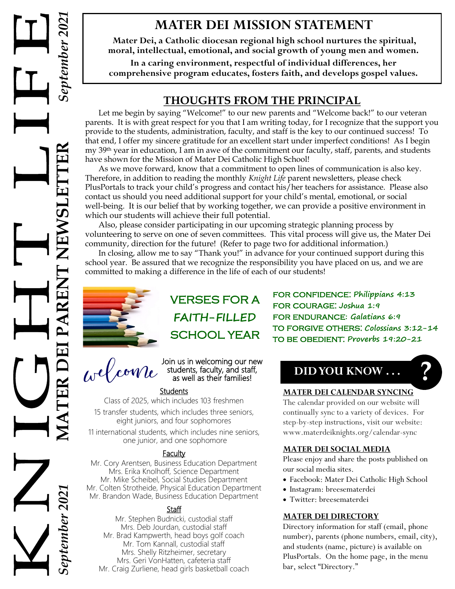# **MATER DEI MISSION STATEMENT**

**Mater Dei, a Catholic diocesan regional high school nurtures the spiritual, moral, intellectual, emotional, and social growth of young men and women.**

**In a caring environment, respectful of individual differences, her comprehensive program educates, fosters faith, and develops gospel values.**

# **THOUGHTS FROM THE PRINCIPAL**

Let me begin by saying "Welcome!" to our new parents and "Welcome back!" to our veteran parents. It is with great respect for you that I am writing today, for I recognize that the support you provide to the students, administration, faculty, and staff is the key to our continued success! To that end, I offer my sincere gratitude for an excellent start under imperfect conditions! As I begin my 39th year in education, I am in awe of the commitment our faculty, staff, parents, and students have shown for the Mission of Mater Dei Catholic High School!

As we move forward, know that a commitment to open lines of communication is also key. Therefore, in addition to reading the monthly *Knight Life* parent newsletters, please check PlusPortals to track your child's progress and contact his/her teachers for assistance. Please also contact us should you need additional support for your child's mental, emotional, or social well-being. It is our belief that by working together, we can provide a positive environment in which our students will achieve their full potential.

Also, please consider participating in our upcoming strategic planning process by volunteering to serve on one of seven committees. This vital process will give us, the Mater Dei community, direction for the future! (Refer to page two for additional information.)

In closing, allow me to say "Thank you!" in advance for your continued support during this school year. Be assured that we recognize the responsibility you have placed on us, and we are committed to making a difference in the life of each of our students!



# VERSES FOR A **FAITH-FILLED** SCHOOL YEAR

Join us in welcoming our new students, faculty, and staff, as well as their families!

### **Students**

Class of 2025, which includes 103 freshmen 15 transfer students, which includes three seniors,

eight juniors, and four sophomores

11 international students, which includes nine seniors, one junior, and one sophomore

### **Faculty**

Mr. Cory Arentsen, Business Education Department Mrs. Erika Knolhoff, Science Department Mr. Mike Scheibel, Social Studies Department Mr. Colten Strotheide, Physical Education Department Mr. Brandon Wade, Business Education Department

### Staff

Mr. Stephen Budnicki, custodial staff Mrs. Deb Jourdan, custodial staff Mr. Brad Kampwerth, head boys golf coach Mr. Tom Kannall, custodial staff Mrs. Shelly Ritzheimer, secretary Mrs. Geri VonHatten, cafeteria staff Mr. Craig Zurliene, head girls basketball coach for confidence: **Philippians 4:13** for courage: **Joshua 1:9** for endurance**: Galatians 6:9** to forgive others: **Colossians 3:12-14** to be obedient: **Proverbs 19:20-21**

# **DID YOU KNOW . . . ?**

### **MATER DEI CALENDAR SYNCING**

The calendar provided on our website will continually sync to a variety of devices. For step-by-step instructions, visit our website: www.materdeiknights.org/calendar-sync

### **MATER DEI SOCIAL MEDIA**

Please enjoy and share the posts published on our social media sites.

- Facebook: Mater Dei Catholic High School
- Instagram: breesematerdei
- Twitter: breesematerdei

### **MATER DEI DIRECTORY**

Directory information for staff (email, phone number), parents (phone numbers, email, city), and students (name, picture) is available on PlusPortals. On the home page, in the menu bar, select "Directory."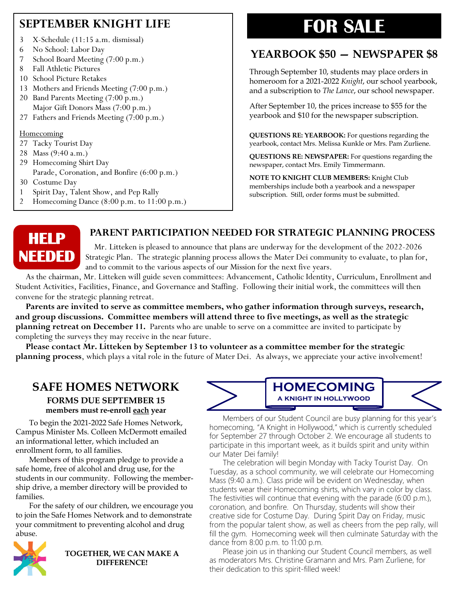# **SEPTEMBER KNIGHT LIFE**

- 3 X-Schedule (11:15 a.m. dismissal)
- 6 No School: Labor Day
- 7 School Board Meeting (7:00 p.m.)
- 8 Fall Athletic Pictures
- 10 School Picture Retakes
- 13 Mothers and Friends Meeting (7:00 p.m.)
- 20 Band Parents Meeting (7:00 p.m.) Major Gift Donors Mass (7:00 p.m.)
- 27 Fathers and Friends Meeting (7:00 p.m.)

### **Homecoming**

- 27 Tacky Tourist Day
- 28 Mass (9:40 a.m.)
- 29 Homecoming Shirt Day Parade, Coronation, and Bonfire (6:00 p.m.)
- 30 Costume Day
- 1 Spirit Day, Talent Show, and Pep Rally
- 2 Homecoming Dance (8:00 p.m. to 11:00 p.m.)

# **FOR SALE**

# **YEARBOOK \$50 — NEWSPAPER \$8**

Through September 10, students may place orders in homeroom for a 2021-2022 *Knight*, our school yearbook, and a subscription to *The Lance*, our school newspaper.

After September 10, the prices increase to \$55 for the yearbook and \$10 for the newspaper subscription.

**QUESTIONS RE: YEARBOOK:** For questions regarding the yearbook, contact Mrs. Melissa Kunkle or Mrs. Pam Zurliene.

**QUESTIONS RE: NEWSPAPER:** For questions regarding the newspaper, contact Mrs. Emily Timmermann.

**NOTE TO KNIGHT CLUB MEMBERS:** Knight Club memberships include both a yearbook and a newspaper subscription. Still, order forms must be submitted.



### **PARENT PARTICIPATION NEEDED FOR STRATEGIC PLANNING PROCESS**

 Mr. Litteken is pleased to announce that plans are underway for the development of the 2022-2026 Strategic Plan. The strategic planning process allows the Mater Dei community to evaluate, to plan for, and to commit to the various aspects of our Mission for the next five years.

 As the chairman, Mr. Litteken will guide seven committees: Advancement, Catholic Identity, Curriculum, Enrollment and Student Activities, Facilities, Finance, and Governance and Staffing. Following their initial work, the committees will then convene for the strategic planning retreat.

 **Parents are invited to serve as committee members, who gather information through surveys, research, and group discussions. Committee members will attend three to five meetings, as well as the strategic planning retreat on December 11.** Parents who are unable to serve on a committee are invited to participate by completing the surveys they may receive in the near future.

 **Please contact Mr. Litteken by September 13 to volunteer as a committee member for the strategic planning process**, which plays a vital role in the future of Mater Dei. As always, we appreciate your active involvement!

### **SAFE HOMES NETWORK FORMS DUE SEPTEMBER 15 members must re-enroll each year**

To begin the 2021-2022 Safe Homes Network, Campus Minister Ms. Colleen McDermott emailed an informational letter, which included an enrollment form, to all families.

Members of this program pledge to provide a safe home, free of alcohol and drug use, for the students in our community. Following the membership drive, a member directory will be provided to families.

For the safety of our children, we encourage you to join the Safe Homes Network and to demonstrate your commitment to preventing alcohol and drug abuse.



**TOGETHER, WE CAN MAKE A DIFFERENCE!**





Members of our Student Council are busy planning for this year's homecoming, "A Knight in Hollywood," which is currently scheduled for September 27 through October 2. We encourage all students to participate in this important week, as it builds spirit and unity within our Mater Dei family!

The celebration will begin Monday with Tacky Tourist Day. On Tuesday, as a school community, we will celebrate our Homecoming Mass (9:40 a.m.). Class pride will be evident on Wednesday, when students wear their Homecoming shirts, which vary in color by class. The festivities will continue that evening with the parade (6:00 p.m.), coronation, and bonfire. On Thursday, students will show their creative side for Costume Day. During Spirit Day on Friday, music from the popular talent show, as well as cheers from the pep rally, will fill the gym. Homecoming week will then culminate Saturday with the dance from 8:00 p.m. to 11:00 p.m.

Please join us in thanking our Student Council members, as well as moderators Mrs. Christine Gramann and Mrs. Pam Zurliene, for their dedication to this spirit-filled week!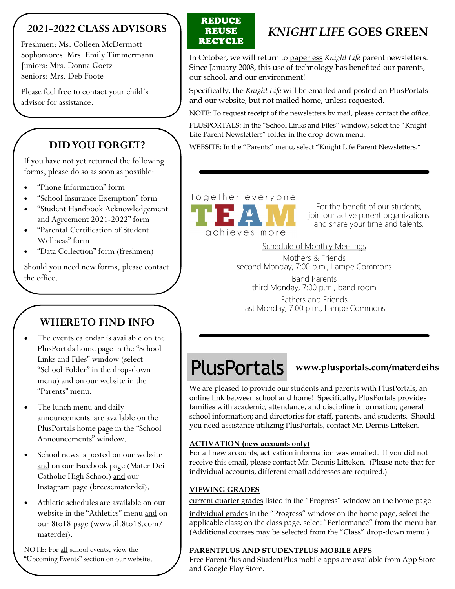## **2021-2022 CLASS ADVISORS**

Freshmen: Ms. Colleen McDermott Sophomores: Mrs. Emily Timmermann Juniors: Mrs. Donna Goetz Seniors: Mrs. Deb Foote

Please feel free to contact your child's advisor for assistance.

# **DID YOU FORGET?**

If you have not yet returned the following forms, please do so as soon as possible:

- "Phone Information" form
- "School Insurance Exemption" form
- "Student Handbook Acknowledgement and Agreement 2021-2022" form
- "Parental Certification of Student Wellness" form
- "Data Collection" form (freshmen)

Should you need new forms, please contact the office.

# **WHERE TO FIND INFO**

- The events calendar is available on the PlusPortals home page in the "School Links and Files" window (select "School Folder" in the drop-down menu) and on our website in the "Parents" menu.
- The lunch menu and daily announcements are available on the PlusPortals home page in the "School Announcements" window.
- School news is posted on our website and on our Facebook page (Mater Dei Catholic High School) and our Instagram page (breesematerdei).
- Athletic schedules are available on our website in the "Athletics" menu and on our 8to18 page (www.il.8to18.com/ materdei).

NOTE: For all school events, view the "Upcoming Events" section on our website.

### **REDUCE** REUSE **RECYCLE**

# *KNIGHT LIFE* **GOES GREEN**

In October, we will return to paperless *Knight Life* parent newsletters. Since January 2008, this use of technology has benefited our parents, our school, and our environment!

Specifically, the *Knight Life* will be emailed and posted on PlusPortals and our website, but not mailed home, unless requested.

NOTE: To request receipt of the newsletters by mail, please contact the office.

PLUSPORTALS: In the "School Links and Files" window, select the "Knight Life Parent Newsletters" folder in the drop-down menu.

WEBSITE: In the "Parents" menu, select "Knight Life Parent Newsletters."

# together everyone

achieves more

For the benefit of our students, join our active parent organizations and share your time and talents.

Schedule of Monthly Meetings

Mothers & Friends second Monday, 7:00 p.m., Lampe Commons Band Parents third Monday, 7:00 p.m., band room Fathers and Friends last Monday, 7:00 p.m., Lampe Commons

# **PlusPortals**

### **www.plusportals.com/materdeihs**

We are pleased to provide our students and parents with PlusPortals, an online link between school and home! Specifically, PlusPortals provides families with academic, attendance, and discipline information; general school information; and directories for staff, parents, and students. Should you need assistance utilizing PlusPortals, contact Mr. Dennis Litteken.

### **ACTIVATION (new accounts only)**

For all new accounts, activation information was emailed. If you did not receive this email, please contact Mr. Dennis Litteken. (Please note that for individual accounts, different email addresses are required.)

### **VIEWING GRADES**

current quarter grades listed in the "Progress" window on the home page

individual grades in the "Progress" window on the home page, select the applicable class; on the class page, select "Performance" from the menu bar. (Additional courses may be selected from the "Class" drop-down menu.)

### **PARENTPLUS AND STUDENTPLUS MOBILE APPS**

Free ParentPlus and StudentPlus mobile apps are available from App Store and Google Play Store.